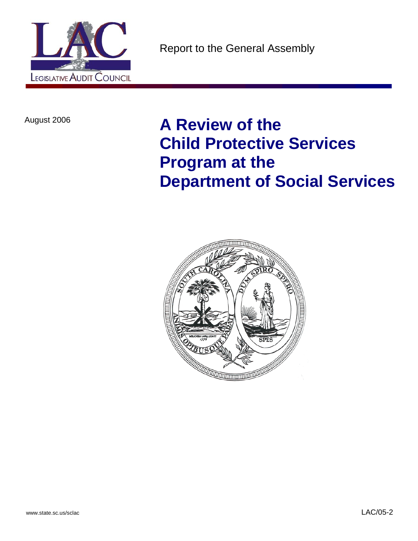

August 2006 **A Review of the Child Protective Services Program at the Department of Social Services** 

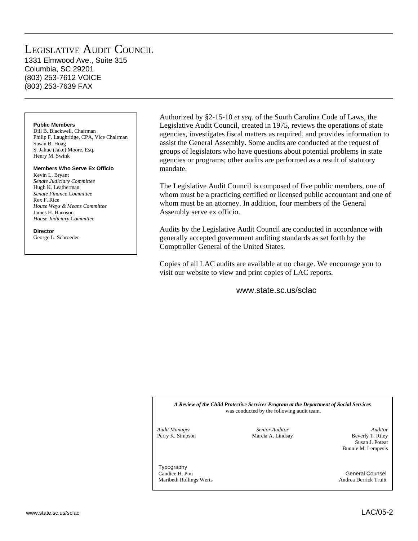### LEGISLATIVE AUDIT COUNCIL 1331 Elmwood Ave., Suite 315

Columbia, SC 29201 (803) 253-7612 VOICE (803) 253-7639 FAX

### **Public Members**

Dill B. Blackwell, Chairman Philip F. Laughridge, CPA, Vice Chairman Susan B. Hoag S. Jahue (Jake) Moore, Esq. Henry M. Swink

### **Members Who Serve Ex Officio**

Kevin L. Bryant *Senate Judiciary Committee*  Hugh K. Leatherman *Senate Finance Committee*  Rex F. Rice *House Ways & Means Committee*  James H. Harrison *House Judiciary Committee* 

### **Director**

George L. Schroeder

Authorized by §2-15-10 *et seq.* of the South Carolina Code of Laws, the Legislative Audit Council, created in 1975, reviews the operations of state agencies, investigates fiscal matters as required, and provides information to assist the General Assembly. Some audits are conducted at the request of groups of legislators who have questions about potential problems in state agencies or programs; other audits are performed as a result of statutory mandate.

The Legislative Audit Council is composed of five public members, one of whom must be a practicing certified or licensed public accountant and one of whom must be an attorney. In addition, four members of the General Assembly serve ex officio.

Audits by the Legislative Audit Council are conducted in accordance with generally accepted government auditing standards as set forth by the Comptroller General of the United States.

Copies of all LAC audits are available at no charge. We encourage you to visit our website to view and print copies of LAC reports.

www.state.sc.us/sclac

*A Review of the Child Protective Services Program at the Department of Social Services*  was conducted by the following audit team.

*Audit Manager Senior Auditor Auditor*  Perry K. Simpson Marcia A. Lindsay Beverly T. Riley Susan J. Poteat Bunnie M. Lempesis

Typography Candice H. Pou General Counsel Maribeth Rollings Werts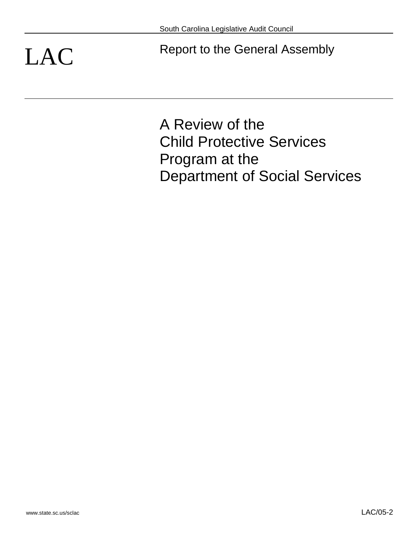LAC Report to the General Assembly

A Review of the Child Protective Services Program at the Department of Social Services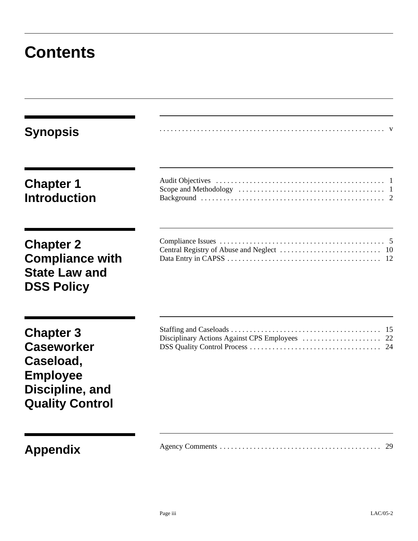## **Contents**

| <b>Synopsis</b>                                                                                                    |    |
|--------------------------------------------------------------------------------------------------------------------|----|
| <b>Chapter 1</b><br><b>Introduction</b>                                                                            |    |
| <b>Chapter 2</b><br><b>Compliance with</b><br><b>State Law and</b><br><b>DSS Policy</b>                            |    |
| <b>Chapter 3</b><br><b>Caseworker</b><br>Caseload,<br><b>Employee</b><br>Discipline, and<br><b>Quality Control</b> |    |
| <b>Appendix</b>                                                                                                    | 29 |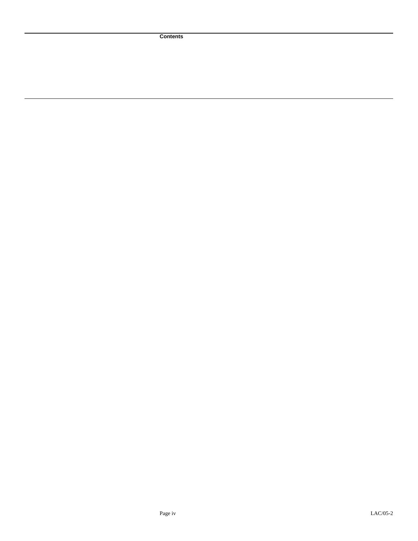**Contents**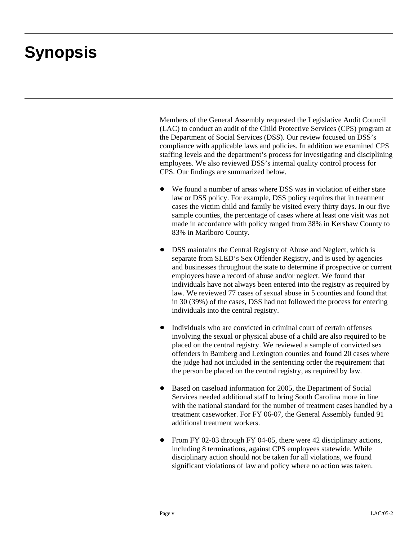# **Synopsis**

Members of the General Assembly requested the Legislative Audit Council (LAC) to conduct an audit of the Child Protective Services (CPS) program at the Department of Social Services (DSS). Our review focused on DSS's compliance with applicable laws and policies. In addition we examined CPS staffing levels and the department's process for investigating and disciplining employees. We also reviewed DSS's internal quality control process for CPS. Our findings are summarized below.

- We found a number of areas where DSS was in violation of either state law or DSS policy. For example, DSS policy requires that in treatment cases the victim child and family be visited every thirty days. In our five sample counties, the percentage of cases where at least one visit was not made in accordance with policy ranged from 38% in Kershaw County to 83% in Marlboro County.
- DSS maintains the Central Registry of Abuse and Neglect, which is separate from SLED's Sex Offender Registry, and is used by agencies and businesses throughout the state to determine if prospective or current employees have a record of abuse and/or neglect. We found that individuals have not always been entered into the registry as required by law. We reviewed 77 cases of sexual abuse in 5 counties and found that in 30 (39%) of the cases, DSS had not followed the process for entering individuals into the central registry.
- Individuals who are convicted in criminal court of certain offenses involving the sexual or physical abuse of a child are also required to be placed on the central registry. We reviewed a sample of convicted sex offenders in Bamberg and Lexington counties and found 20 cases where the judge had not included in the sentencing order the requirement that the person be placed on the central registry, as required by law.
- Based on caseload information for 2005, the Department of Social Services needed additional staff to bring South Carolina more in line with the national standard for the number of treatment cases handled by a treatment caseworker. For FY 06-07, the General Assembly funded 91 additional treatment workers.
- From FY 02-03 through FY 04-05, there were 42 disciplinary actions, including 8 terminations, against CPS employees statewide. While disciplinary action should not be taken for all violations, we found significant violations of law and policy where no action was taken.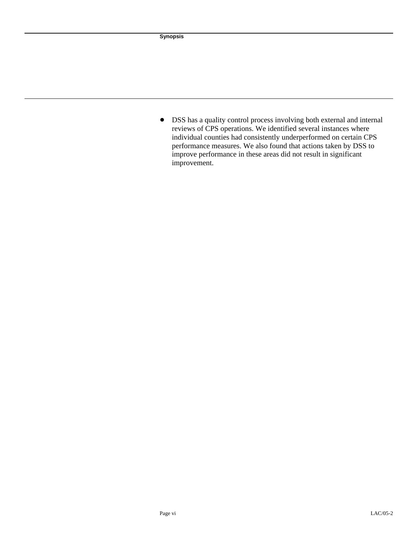• DSS has a quality control process involving both external and internal reviews of CPS operations. We identified several instances where individual counties had consistently underperformed on certain CPS performance measures. We also found that actions taken by DSS to improve performance in these areas did not result in significant improvement.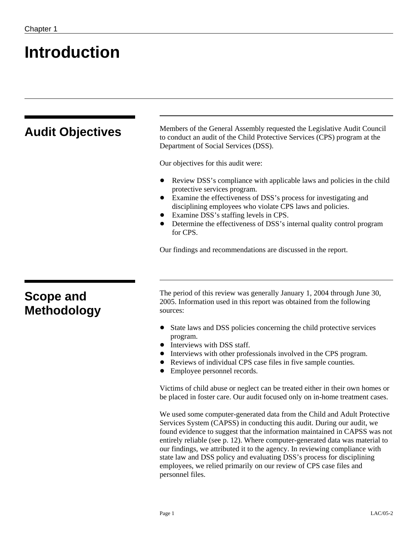## **Introduction**

| Members of the General Assembly requested the Legislative Audit Council<br>to conduct an audit of the Child Protective Services (CPS) program at the                                                                                                                                                                      |
|---------------------------------------------------------------------------------------------------------------------------------------------------------------------------------------------------------------------------------------------------------------------------------------------------------------------------|
|                                                                                                                                                                                                                                                                                                                           |
|                                                                                                                                                                                                                                                                                                                           |
| Review DSS's compliance with applicable laws and policies in the child<br>Examine the effectiveness of DSS's process for investigating and<br>disciplining employees who violate CPS laws and policies.<br>Examine DSS's staffing levels in CPS.<br>Determine the effectiveness of DSS's internal quality control program |
| Our findings and recommendations are discussed in the report.                                                                                                                                                                                                                                                             |
|                                                                                                                                                                                                                                                                                                                           |
| The period of this review was generally January 1, 2004 through June 30,<br>2005. Information used in this report was obtained from the following                                                                                                                                                                         |
| State laws and DSS policies concerning the child protective services<br>Interviews with other professionals involved in the CPS program.<br>Reviews of individual CPS case files in five sample counties.                                                                                                                 |
|                                                                                                                                                                                                                                                                                                                           |

• Employee personnel records.

Victims of child abuse or neglect can be treated either in their own homes or be placed in foster care. Our audit focused only on in-home treatment cases.

We used some computer-generated data from the Child and Adult Protective Services System (CAPSS) in conducting this audit. During our audit, we found evidence to suggest that the information maintained in CAPSS was not entirely reliable (see p. 12). Where computer-generated data was material to our findings, we attributed it to the agency. In reviewing compliance with state law and DSS policy and evaluating DSS's process for disciplining employees, we relied primarily on our review of CPS case files and personnel files.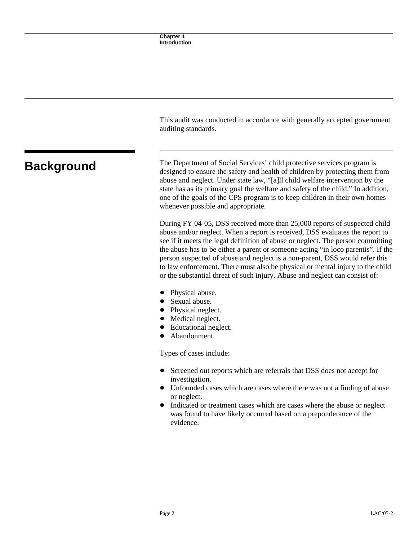|                   | This audit was conducted in accordance with generally accepted government<br>auditing standards.                                                                                                                                                                                                                                                                                                                                                                                                                                                                                |
|-------------------|---------------------------------------------------------------------------------------------------------------------------------------------------------------------------------------------------------------------------------------------------------------------------------------------------------------------------------------------------------------------------------------------------------------------------------------------------------------------------------------------------------------------------------------------------------------------------------|
| <b>Background</b> | The Department of Social Services' child protective services program is<br>designed to ensure the safety and health of children by protecting them from<br>abuse and neglect. Under state law, "[a]ll child welfare intervention by the<br>state has as its primary goal the welfare and safety of the child." In addition,<br>one of the goals of the CPS program is to keep children in their own homes<br>whenever possible and appropriate.                                                                                                                                 |
|                   | During FY 04-05, DSS received more than 25,000 reports of suspected child<br>abuse and/or neglect. When a report is received, DSS evaluates the report to<br>see if it meets the legal definition of abuse or neglect. The person committing<br>the abuse has to be either a parent or someone acting "in loco parentis". If the<br>person suspected of abuse and neglect is a non-parent, DSS would refer this<br>to law enforcement. There must also be physical or mental injury to the child<br>or the substantial threat of such injury. Abuse and neglect can consist of: |
|                   | Physical abuse.<br>Sexual abuse.<br>Physical neglect.<br>Medical neglect.<br>Educational neglect.<br>Abandonment.                                                                                                                                                                                                                                                                                                                                                                                                                                                               |
|                   | Types of cases include:                                                                                                                                                                                                                                                                                                                                                                                                                                                                                                                                                         |
|                   | Screened out reports which are referrals that DSS does not accept for<br>$\bullet$<br>investigation.<br>Unfounded cases which are cases where there was not a finding of abuse<br>or neglect.<br>Indicated or treatment cases which are cases where the abuse or neglect                                                                                                                                                                                                                                                                                                        |

was found to have likely occurred based on a preponderance of the

Page 2 LAC/05-2

evidence.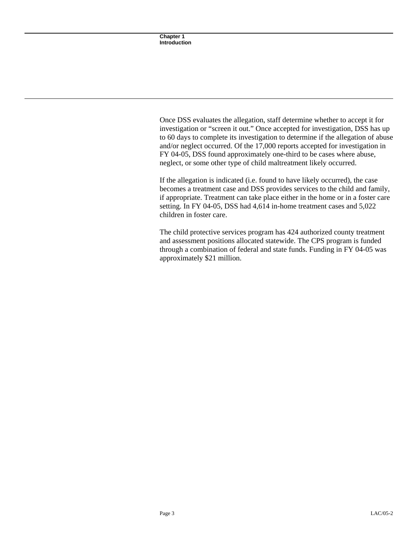Once DSS evaluates the allegation, staff determine whether to accept it for investigation or "screen it out." Once accepted for investigation, DSS has up to 60 days to complete its investigation to determine if the allegation of abuse and/or neglect occurred. Of the 17,000 reports accepted for investigation in FY 04-05, DSS found approximately one-third to be cases where abuse, neglect, or some other type of child maltreatment likely occurred.

If the allegation is indicated (i.e. found to have likely occurred), the case becomes a treatment case and DSS provides services to the child and family, if appropriate. Treatment can take place either in the home or in a foster care setting. In FY 04-05, DSS had 4,614 in-home treatment cases and 5,022 children in foster care.

The child protective services program has 424 authorized county treatment and assessment positions allocated statewide. The CPS program is funded through a combination of federal and state funds. Funding in FY 04-05 was approximately \$21 million.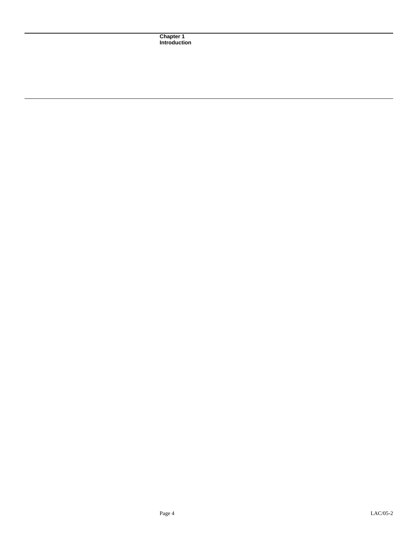**Chapter 1 Introduction**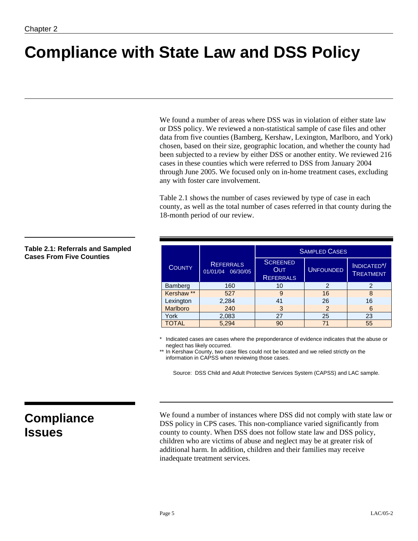# **Compliance with State Law and DSS Policy**

We found a number of areas where DSS was in violation of either state law or DSS policy. We reviewed a non-statistical sample of case files and other data from five counties (Bamberg, Kershaw, Lexington, Marlboro, and York) chosen, based on their size, geographic location, and whether the county had been subjected to a review by either DSS or another entity. We reviewed 216 cases in these counties which were referred to DSS from January 2004 through June 2005. We focused only on in-home treatment cases, excluding any with foster care involvement.

Table 2.1 shows the number of cases reviewed by type of case in each county, as well as the total number of cases referred in that county during the 18-month period of our review.

|                 |                                          |                                                   | <b>SAMPLED CASES</b> |                                       |
|-----------------|------------------------------------------|---------------------------------------------------|----------------------|---------------------------------------|
| <b>COUNTY</b>   | <b>REFERRALS</b><br>01/01/04<br>06/30/05 | <b>SCREENED</b><br><b>OUT</b><br><b>REFERRALS</b> | <b>UNFOUNDED</b>     | INDICATED <sup>*</sup> /<br>TREATMENT |
| Bamberg         | 160                                      | 10                                                | 2                    | 2                                     |
| Kershaw **      | 527                                      | 9                                                 | 16                   | 8                                     |
| Lexington       | 2,284                                    | 41                                                | 26                   | 16                                    |
| <b>Marlboro</b> | 240                                      | 3                                                 | $\overline{2}$       | 6                                     |
| York            | 2,083                                    | 27                                                | 25                   | 23                                    |
| TOTAL           | 5,294                                    | 90                                                | 71                   | 55                                    |

Indicated cases are cases where the preponderance of evidence indicates that the abuse or neglect has likely occurred.

\*\* In Kershaw County, two case files could not be located and we relied strictly on the information in CAPSS when reviewing those cases.

Source: DSS Child and Adult Protective Services System (CAPSS) and LAC sample.

## **Compliance Issues**

We found a number of instances where DSS did not comply with state law or DSS policy in CPS cases. This non-compliance varied significantly from county to county. When DSS does not follow state law and DSS policy, children who are victims of abuse and neglect may be at greater risk of additional harm. In addition, children and their families may receive inadequate treatment services.

### **Table 2.1: Referrals and Sampled Cases From Five Counties**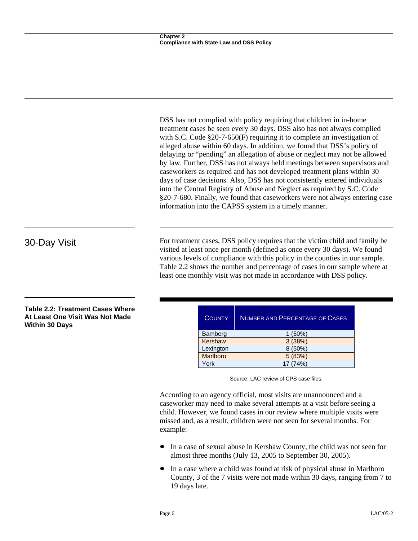DSS has not complied with policy requiring that children in in-home treatment cases be seen every 30 days. DSS also has not always complied with S.C. Code §20-7-650(F) requiring it to complete an investigation of alleged abuse within 60 days. In addition, we found that DSS's policy of delaying or "pending" an allegation of abuse or neglect may not be allowed by law. Further, DSS has not always held meetings between supervisors and caseworkers as required and has not developed treatment plans within 30 days of case decisions. Also, DSS has not consistently entered individuals into the Central Registry of Abuse and Neglect as required by S.C. Code §20-7-680. Finally, we found that caseworkers were not always entering case information into the CAPSS system in a timely manner.

30-Day Visit For treatment cases, DSS policy requires that the victim child and family be visited at least once per month (defined as once every 30 days). We found various levels of compliance with this policy in the counties in our sample. Table 2.2 shows the number and percentage of cases in our sample where at least one monthly visit was not made in accordance with DSS policy.

| <b>COUNTY</b> | <b>NUMBER AND PERCENTAGE OF CASES</b> |
|---------------|---------------------------------------|
| Bamberg       | $1(50\%)$                             |
| Kershaw       | 3(38%)                                |
| Lexington     | 8(50%)                                |
| Marlboro      | 5 (83%)                               |
| York          |                                       |

Source: LAC review of CPS case files.

According to an agency official, most visits are unannounced and a caseworker may need to make several attempts at a visit before seeing a child. However, we found cases in our review where multiple visits were missed and, as a result, children were not seen for several months. For example:

- In a case of sexual abuse in Kershaw County, the child was not seen for almost three months (July 13, 2005 to September 30, 2005).
- In a case where a child was found at risk of physical abuse in Marlboro County, 3 of the 7 visits were not made within 30 days, ranging from 7 to 19 days late.

**Table 2.2: Treatment Cases Where At Least One Visit Was Not Made Within 30 Days**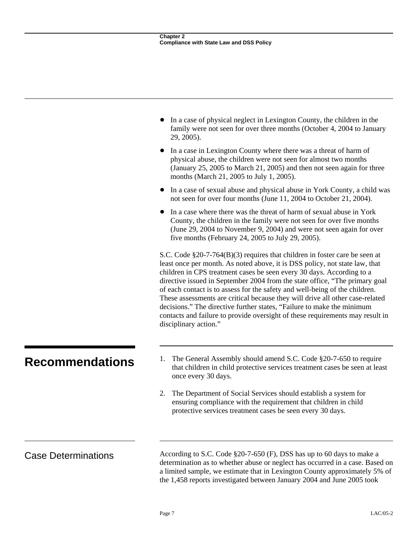|                            | In a case of physical neglect in Lexington County, the children in the<br>family were not seen for over three months (October 4, 2004 to January<br>29, 2005).                                                                                                                                                                                                                                                                                                                                                                                                                                                                                                             |
|----------------------------|----------------------------------------------------------------------------------------------------------------------------------------------------------------------------------------------------------------------------------------------------------------------------------------------------------------------------------------------------------------------------------------------------------------------------------------------------------------------------------------------------------------------------------------------------------------------------------------------------------------------------------------------------------------------------|
|                            | In a case in Lexington County where there was a threat of harm of<br>physical abuse, the children were not seen for almost two months<br>(January 25, 2005 to March 21, 2005) and then not seen again for three<br>months (March 21, 2005 to July 1, 2005).                                                                                                                                                                                                                                                                                                                                                                                                                |
|                            | In a case of sexual abuse and physical abuse in York County, a child was<br>not seen for over four months (June 11, 2004 to October 21, 2004).                                                                                                                                                                                                                                                                                                                                                                                                                                                                                                                             |
|                            | In a case where there was the threat of harm of sexual abuse in York<br>County, the children in the family were not seen for over five months<br>(June 29, 2004 to November 9, 2004) and were not seen again for over<br>five months (February 24, 2005 to July 29, 2005).                                                                                                                                                                                                                                                                                                                                                                                                 |
|                            | S.C. Code $\S 20$ -7-764(B)(3) requires that children in foster care be seen at<br>least once per month. As noted above, it is DSS policy, not state law, that<br>children in CPS treatment cases be seen every 30 days. According to a<br>directive issued in September 2004 from the state office, "The primary goal<br>of each contact is to assess for the safety and well-being of the children.<br>These assessments are critical because they will drive all other case-related<br>decisions." The directive further states, "Failure to make the minimum<br>contacts and failure to provide oversight of these requirements may result in<br>disciplinary action." |
| <b>Recommendations</b>     | The General Assembly should amend S.C. Code §20-7-650 to require<br>1.<br>that children in child protective services treatment cases be seen at least<br>once every 30 days.                                                                                                                                                                                                                                                                                                                                                                                                                                                                                               |
|                            | The Department of Social Services should establish a system for<br>2.<br>ensuring compliance with the requirement that children in child<br>protective services treatment cases be seen every 30 days.                                                                                                                                                                                                                                                                                                                                                                                                                                                                     |
| <b>Case Determinations</b> | According to S.C. Code §20-7-650 (F), DSS has up to 60 days to make a<br>determination as to whether abuse or neglect has occurred in a case. Based on                                                                                                                                                                                                                                                                                                                                                                                                                                                                                                                     |
|                            | a limited sample, we estimate that in Lexington County approximately 5% of<br>the 1,458 reports investigated between January 2004 and June 2005 took                                                                                                                                                                                                                                                                                                                                                                                                                                                                                                                       |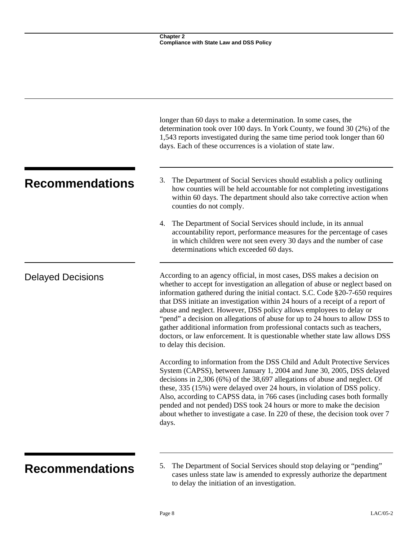|                          | longer than 60 days to make a determination. In some cases, the<br>determination took over 100 days. In York County, we found 30 (2%) of the<br>1,543 reports investigated during the same time period took longer than 60<br>days. Each of these occurrences is a violation of state law.                                                                                                                                                                                                                                                                                                                                                                                   |
|--------------------------|------------------------------------------------------------------------------------------------------------------------------------------------------------------------------------------------------------------------------------------------------------------------------------------------------------------------------------------------------------------------------------------------------------------------------------------------------------------------------------------------------------------------------------------------------------------------------------------------------------------------------------------------------------------------------|
| <b>Recommendations</b>   | The Department of Social Services should establish a policy outlining<br>3.<br>how counties will be held accountable for not completing investigations<br>within 60 days. The department should also take corrective action when<br>counties do not comply.                                                                                                                                                                                                                                                                                                                                                                                                                  |
|                          | 4. The Department of Social Services should include, in its annual<br>accountability report, performance measures for the percentage of cases<br>in which children were not seen every 30 days and the number of case<br>determinations which exceeded 60 days.                                                                                                                                                                                                                                                                                                                                                                                                              |
| <b>Delayed Decisions</b> | According to an agency official, in most cases, DSS makes a decision on<br>whether to accept for investigation an allegation of abuse or neglect based on<br>information gathered during the initial contact. S.C. Code §20-7-650 requires<br>that DSS initiate an investigation within 24 hours of a receipt of a report of<br>abuse and neglect. However, DSS policy allows employees to delay or<br>"pend" a decision on allegations of abuse for up to 24 hours to allow DSS to<br>gather additional information from professional contacts such as teachers,<br>doctors, or law enforcement. It is questionable whether state law allows DSS<br>to delay this decision. |
|                          | According to information from the DSS Child and Adult Protective Services<br>System (CAPSS), between January 1, 2004 and June 30, 2005, DSS delayed<br>decisions in $2,306$ (6%) of the 38,697 allegations of abuse and neglect. Of<br>these, 335 (15%) were delayed over 24 hours, in violation of DSS policy.<br>Also, according to CAPSS data, in 766 cases (including cases both formally<br>pended and not pended) DSS took 24 hours or more to make the decision<br>about whether to investigate a case. In 220 of these, the decision took over 7<br>days.                                                                                                            |
|                          |                                                                                                                                                                                                                                                                                                                                                                                                                                                                                                                                                                                                                                                                              |

**Recommendations** 5. The Department of Social Services should stop delaying or "pending" cases unless state law is amended to expressly authorize the department to delay the initiation of an investigation.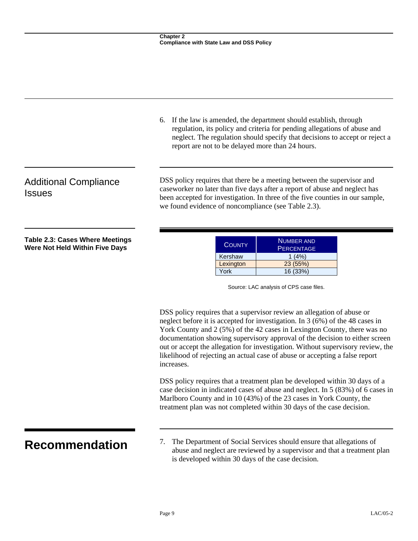|                                                                          | 6. If the law is amended, the department should establish, through<br>regulation, its policy and criteria for pending allegations of abuse and<br>neglect. The regulation should specify that decisions to accept or reject a<br>report are not to be delayed more than 24 hours.                                                                                                                                                                                                                   |  |  |
|--------------------------------------------------------------------------|-----------------------------------------------------------------------------------------------------------------------------------------------------------------------------------------------------------------------------------------------------------------------------------------------------------------------------------------------------------------------------------------------------------------------------------------------------------------------------------------------------|--|--|
| <b>Additional Compliance</b><br><b>Issues</b>                            | DSS policy requires that there be a meeting between the supervisor and<br>caseworker no later than five days after a report of abuse and neglect has<br>been accepted for investigation. In three of the five counties in our sample,<br>we found evidence of noncompliance (see Table 2.3).                                                                                                                                                                                                        |  |  |
| <b>Table 2.3: Cases Where Meetings</b><br>Were Not Held Within Five Days | <b>NUMBER AND</b><br><b>COUNTY</b><br><b>PERCENTAGE</b><br>Kershaw<br>1(4%)<br>23 (55%)<br>Lexington<br>York<br>16 (33%)<br>Source: LAC analysis of CPS case files.                                                                                                                                                                                                                                                                                                                                 |  |  |
|                                                                          | DSS policy requires that a supervisor review an allegation of abuse or<br>neglect before it is accepted for investigation. In $3(6%)$ of the 48 cases in<br>York County and 2 (5%) of the 42 cases in Lexington County, there was no<br>documentation showing supervisory approval of the decision to either screen<br>out or accept the allegation for investigation. Without supervisory review, the<br>likelihood of rejecting an actual case of abuse or accepting a false report<br>increases. |  |  |
|                                                                          | DSS policy requires that a treatment plan be developed within 30 days of a<br>case decision in indicated cases of abuse and neglect. In 5 (83%) of 6 cases in<br>Marlboro County and in 10 (43%) of the 23 cases in York County, the<br>treatment plan was not completed within 30 days of the case decision.                                                                                                                                                                                       |  |  |
| <b>Recommendation</b>                                                    | The Department of Social Services should ensure that allegations of<br>7.<br>abuse and neglect are reviewed by a supervisor and that a treatment plan<br>is developed within 30 days of the case decision.                                                                                                                                                                                                                                                                                          |  |  |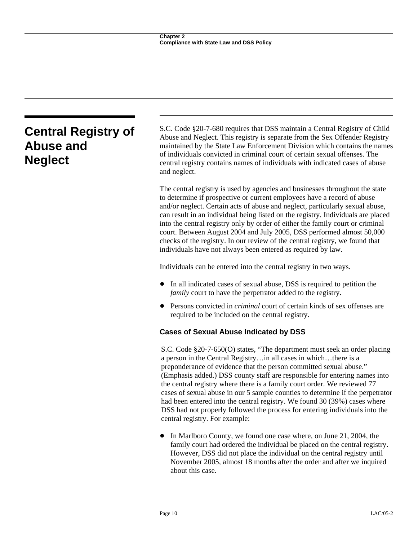### **Central Registry of Abuse and Neglect**  S.C. Code §20-7-680 requires that DSS maintain a Central Registry of Child Abuse and Neglect. This registry is separate from the Sex Offender Registry maintained by the State Law Enforcement Division which contains the names of individuals convicted in criminal court of certain sexual offenses. The central registry contains names of individuals with indicated cases of abuse and neglect. The central registry is used by agencies and businesses throughout the state to determine if prospective or current employees have a record of abuse and/or neglect. Certain acts of abuse and neglect, particularly sexual abuse, can result in an individual being listed on the registry. Individuals are placed into the central registry only by order of either the family court or criminal court. Between August 2004 and July 2005, DSS performed almost 50,000 checks of the registry. In our review of the central registry, we found that individuals have not always been entered as required by law. Individuals can be entered into the central registry in two ways. • In all indicated cases of sexual abuse, DSS is required to petition the *family* court to have the perpetrator added to the registry. • Persons convicted in *criminal* court of certain kinds of sex offenses are required to be included on the central registry. **Cases of Sexual Abuse Indicated by DSS**  S.C. Code §20-7-650(O) states, "The department must seek an order placing a person in the Central Registry…in all cases in which…there is a preponderance of evidence that the person committed sexual abuse." (Emphasis added.) DSS county staff are responsible for entering names into the central registry where there is a family court order. We reviewed 77 cases of sexual abuse in our 5 sample counties to determine if the perpetrator had been entered into the central registry. We found 30 (39%) cases where DSS had not properly followed the process for entering individuals into the

central registry. For example:

In Marlboro County, we found one case where, on June 21, 2004, the family court had ordered the individual be placed on the central registry. However, DSS did not place the individual on the central registry until November 2005, almost 18 months after the order and after we inquired about this case.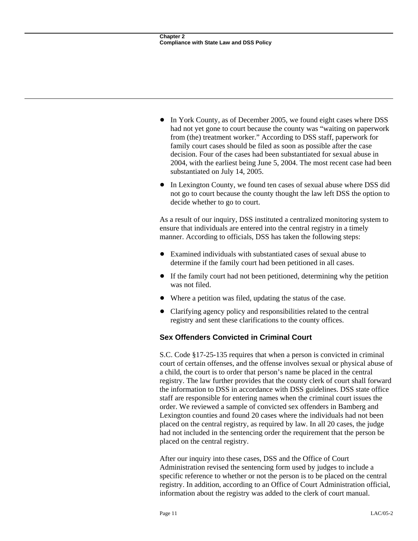- In York County, as of December 2005, we found eight cases where DSS had not yet gone to court because the county was "waiting on paperwork from (the) treatment worker." According to DSS staff, paperwork for family court cases should be filed as soon as possible after the case decision. Four of the cases had been substantiated for sexual abuse in 2004, with the earliest being June 5, 2004. The most recent case had been substantiated on July 14, 2005.
- In Lexington County, we found ten cases of sexual abuse where DSS did not go to court because the county thought the law left DSS the option to decide whether to go to court.

As a result of our inquiry, DSS instituted a centralized monitoring system to ensure that individuals are entered into the central registry in a timely manner. According to officials, DSS has taken the following steps:

- Examined individuals with substantiated cases of sexual abuse to determine if the family court had been petitioned in all cases.
- If the family court had not been petitioned, determining why the petition was not filed.
- Where a petition was filed, updating the status of the case.
- Clarifying agency policy and responsibilities related to the central registry and sent these clarifications to the county offices.

### **Sex Offenders Convicted in Criminal Court**

S.C. Code §17-25-135 requires that when a person is convicted in criminal court of certain offenses, and the offense involves sexual or physical abuse of a child, the court is to order that person's name be placed in the central registry. The law further provides that the county clerk of court shall forward the information to DSS in accordance with DSS guidelines. DSS state office staff are responsible for entering names when the criminal court issues the order. We reviewed a sample of convicted sex offenders in Bamberg and Lexington counties and found 20 cases where the individuals had not been placed on the central registry, as required by law. In all 20 cases, the judge had not included in the sentencing order the requirement that the person be placed on the central registry.

After our inquiry into these cases, DSS and the Office of Court Administration revised the sentencing form used by judges to include a specific reference to whether or not the person is to be placed on the central registry. In addition, according to an Office of Court Administration official, information about the registry was added to the clerk of court manual.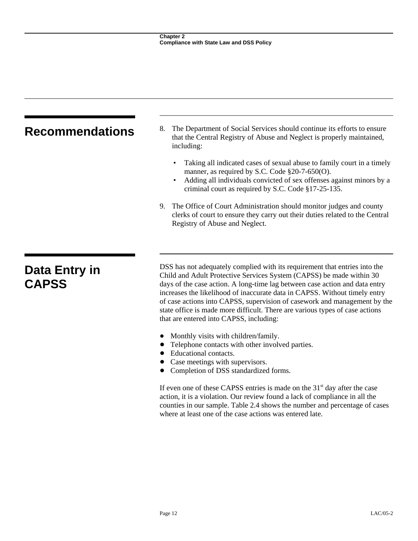|                               | The Department of Social Services should continue its efforts to ensure<br>8.                                                                                                                                                                                                                                                                                                                                                                                                                                           |  |  |  |
|-------------------------------|-------------------------------------------------------------------------------------------------------------------------------------------------------------------------------------------------------------------------------------------------------------------------------------------------------------------------------------------------------------------------------------------------------------------------------------------------------------------------------------------------------------------------|--|--|--|
| <b>Recommendations</b>        | that the Central Registry of Abuse and Neglect is properly maintained,<br>including:                                                                                                                                                                                                                                                                                                                                                                                                                                    |  |  |  |
|                               | Taking all indicated cases of sexual abuse to family court in a timely<br>٠<br>manner, as required by S.C. Code $\S20$ -7-650(O).<br>Adding all individuals convicted of sex offenses against minors by a<br>$\bullet$<br>criminal court as required by S.C. Code §17-25-135.                                                                                                                                                                                                                                           |  |  |  |
|                               | The Office of Court Administration should monitor judges and county<br>9.<br>clerks of court to ensure they carry out their duties related to the Central<br>Registry of Abuse and Neglect.                                                                                                                                                                                                                                                                                                                             |  |  |  |
|                               |                                                                                                                                                                                                                                                                                                                                                                                                                                                                                                                         |  |  |  |
| Data Entry in<br><b>CAPSS</b> | DSS has not adequately complied with its requirement that entries into the<br>Child and Adult Protective Services System (CAPSS) be made within 30<br>days of the case action. A long-time lag between case action and data entry<br>increases the likelihood of inaccurate data in CAPSS. Without timely entry<br>of case actions into CAPSS, supervision of casework and management by the<br>state office is made more difficult. There are various types of case actions<br>that are entered into CAPSS, including: |  |  |  |

- ! Monthly visits with children/family.
- Telephone contacts with other involved parties.
- Educational contacts.
- Case meetings with supervisors.
- $\bullet$  Completion of DSS standardized forms.

If even one of these CAPSS entries is made on the  $31<sup>st</sup>$  day after the case action, it is a violation. Our review found a lack of compliance in all the counties in our sample. Table 2.4 shows the number and percentage of cases where at least one of the case actions was entered late.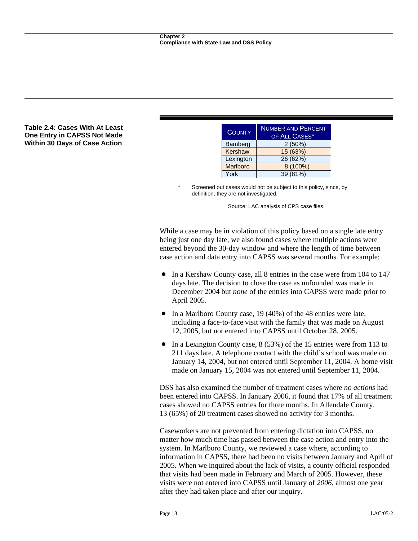### **Table 2.4: Cases With At Least One Entry in CAPSS Not Made Within 30 Days of Case Action**

| <b>COUNTY</b>   | <b>NUMBER AND PERCENT</b><br>OF ALL CASES* |
|-----------------|--------------------------------------------|
| Bamberg         | 2(50%)                                     |
| Kershaw         | 15 (63%)                                   |
| Lexington       | 26 (62%)                                   |
| <b>Marlboro</b> | 8 (100%)                                   |
| York            | 39 (81%)                                   |

Screened out cases would not be subject to this policy, since, by definition, they are not investigated.

Source: LAC analysis of CPS case files.

While a case may be in violation of this policy based on a single late entry being just one day late, we also found cases where multiple actions were entered beyond the 30-day window and where the length of time between case action and data entry into CAPSS was several months. For example:

- In a Kershaw County case, all 8 entries in the case were from 104 to 147 days late. The decision to close the case as unfounded was made in December 2004 but *none* of the entries into CAPSS were made prior to April 2005.
- $\bullet$  In a Marlboro County case, 19 (40%) of the 48 entries were late, including a face-to-face visit with the family that was made on August 12, 2005, but not entered into CAPSS until October 28, 2005.
- $\bullet$  In a Lexington County case, 8 (53%) of the 15 entries were from 113 to 211 days late. A telephone contact with the child's school was made on January 14, 2004, but not entered until September 11, 2004. A home visit made on January 15, 2004 was not entered until September 11, 2004.

DSS has also examined the number of treatment cases where *no actions* had been entered into CAPSS. In January 2006, it found that 17% of all treatment cases showed no CAPSS entries for three months. In Allendale County, 13 (65%) of 20 treatment cases showed no activity for 3 months.

Caseworkers are not prevented from entering dictation into CAPSS, no matter how much time has passed between the case action and entry into the system. In Marlboro County, we reviewed a case where, according to information in CAPSS, there had been no visits between January and April of 2005. When we inquired about the lack of visits, a county official responded that visits had been made in February and March of 2005. However, these visits were not entered into CAPSS until January of *2006*, almost one year after they had taken place and after our inquiry.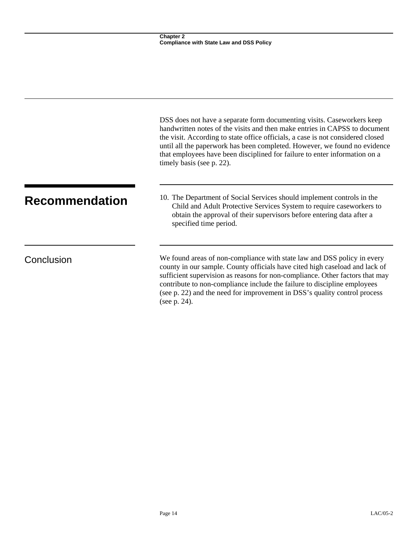|                       | DSS does not have a separate form documenting visits. Caseworkers keep<br>handwritten notes of the visits and then make entries in CAPSS to document<br>the visit. According to state office officials, a case is not considered closed<br>until all the paperwork has been completed. However, we found no evidence<br>that employees have been disciplined for failure to enter information on a<br>timely basis (see p. 22). |
|-----------------------|---------------------------------------------------------------------------------------------------------------------------------------------------------------------------------------------------------------------------------------------------------------------------------------------------------------------------------------------------------------------------------------------------------------------------------|
| <b>Recommendation</b> | 10. The Department of Social Services should implement controls in the<br>Child and Adult Protective Services System to require caseworkers to<br>obtain the approval of their supervisors before entering data after a<br>specified time period.                                                                                                                                                                               |
| Conclusion            | We found areas of non-compliance with state law and DSS policy in every<br>county in our sample. County officials have cited high caseload and lack of<br>sufficient supervision as reasons for non-compliance. Other factors that may<br>contribute to non-compliance include the failure to discipline employees<br>(see p. 22) and the need for improvement in DSS's quality control process<br>(see p. 24).                 |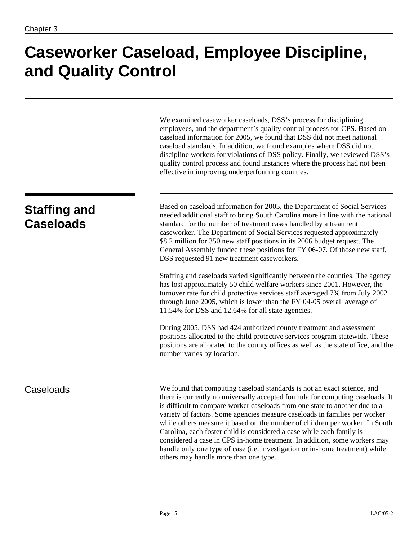## **Caseworker Caseload, Employee Discipline, and Quality Control**

|                                         | We examined caseworker caseloads, DSS's process for disciplining<br>employees, and the department's quality control process for CPS. Based on<br>caseload information for 2005, we found that DSS did not meet national<br>caseload standards. In addition, we found examples where DSS did not<br>discipline workers for violations of DSS policy. Finally, we reviewed DSS's<br>quality control process and found instances where the process had not been<br>effective in improving underperforming counties.                                                                                                                                                                      |
|-----------------------------------------|---------------------------------------------------------------------------------------------------------------------------------------------------------------------------------------------------------------------------------------------------------------------------------------------------------------------------------------------------------------------------------------------------------------------------------------------------------------------------------------------------------------------------------------------------------------------------------------------------------------------------------------------------------------------------------------|
| <b>Staffing and</b><br><b>Caseloads</b> | Based on caseload information for 2005, the Department of Social Services<br>needed additional staff to bring South Carolina more in line with the national<br>standard for the number of treatment cases handled by a treatment<br>caseworker. The Department of Social Services requested approximately<br>\$8.2 million for 350 new staff positions in its 2006 budget request. The<br>General Assembly funded these positions for FY 06-07. Of those new staff,<br>DSS requested 91 new treatment caseworkers.                                                                                                                                                                    |
|                                         | Staffing and caseloads varied significantly between the counties. The agency<br>has lost approximately 50 child welfare workers since 2001. However, the<br>turnover rate for child protective services staff averaged 7% from July 2002<br>through June 2005, which is lower than the FY 04-05 overall average of<br>11.54% for DSS and 12.64% for all state agencies.                                                                                                                                                                                                                                                                                                               |
|                                         | During 2005, DSS had 424 authorized county treatment and assessment<br>positions allocated to the child protective services program statewide. These<br>positions are allocated to the county offices as well as the state office, and the<br>number varies by location.                                                                                                                                                                                                                                                                                                                                                                                                              |
| Caseloads                               | We found that computing caseload standards is not an exact science, and<br>there is currently no universally accepted formula for computing caseloads. It<br>is difficult to compare worker caseloads from one state to another due to a<br>variety of factors. Some agencies measure caseloads in families per worker<br>while others measure it based on the number of children per worker. In South<br>Carolina, each foster child is considered a case while each family is<br>considered a case in CPS in-home treatment. In addition, some workers may<br>handle only one type of case (i.e. investigation or in-home treatment) while<br>others may handle more than one type. |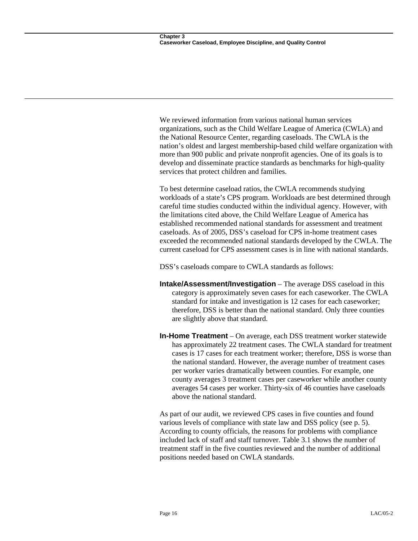We reviewed information from various national human services organizations, such as the Child Welfare League of America (CWLA) and the National Resource Center, regarding caseloads. The CWLA is the nation's oldest and largest membership-based child welfare organization with more than 900 public and private nonprofit agencies. One of its goals is to develop and disseminate practice standards as benchmarks for high-quality services that protect children and families.

To best determine caseload ratios, the CWLA recommends studying workloads of a state's CPS program. Workloads are best determined through careful time studies conducted within the individual agency. However, with the limitations cited above, the Child Welfare League of America has established recommended national standards for assessment and treatment caseloads. As of 2005, DSS's caseload for CPS in-home treatment cases exceeded the recommended national standards developed by the CWLA. The current caseload for CPS assessment cases is in line with national standards.

DSS's caseloads compare to CWLA standards as follows:

- **Intake/Assessment/Investigation** The average DSS caseload in this category is approximately seven cases for each caseworker. The CWLA standard for intake and investigation is 12 cases for each caseworker; therefore, DSS is better than the national standard. Only three counties are slightly above that standard.
- **In-Home Treatment** On average, each DSS treatment worker statewide has approximately 22 treatment cases. The CWLA standard for treatment cases is 17 cases for each treatment worker; therefore, DSS is worse than the national standard. However, the average number of treatment cases per worker varies dramatically between counties. For example, one county averages 3 treatment cases per caseworker while another county averages 54 cases per worker. Thirty-six of 46 counties have caseloads above the national standard.

As part of our audit, we reviewed CPS cases in five counties and found various levels of compliance with state law and DSS policy (see p. 5). According to county officials, the reasons for problems with compliance included lack of staff and staff turnover. Table 3.1 shows the number of treatment staff in the five counties reviewed and the number of additional positions needed based on CWLA standards.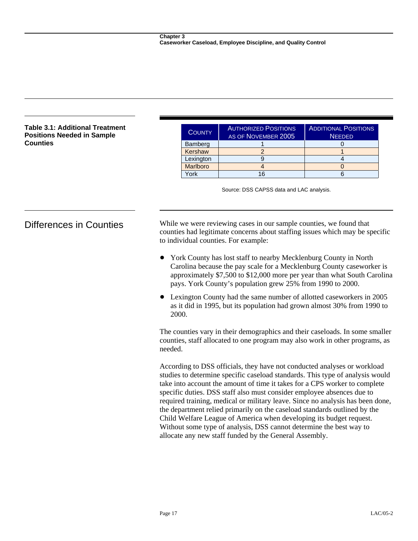### **Table 3.1: Additional Treatment Positions Needed in Sample Counties**

| <b>COUNTY</b> | <b>AUTHORIZED POSITIONS</b><br>AS OF NOVEMBER 2005 | <b>ADDITIONAL POSITIONS</b><br><b>NEEDED</b> |  |
|---------------|----------------------------------------------------|----------------------------------------------|--|
| Bamberg       |                                                    |                                              |  |
| Kershaw       |                                                    |                                              |  |
| Lexington     |                                                    |                                              |  |
| Marlboro      |                                                    |                                              |  |
| <b>ork</b>    | 16                                                 |                                              |  |

Source: DSS CAPSS data and LAC analysis.

Differences in Counties While we were reviewing cases in our sample counties, we found that counties had legitimate concerns about staffing issues which may be specific to individual counties. For example:

- York County has lost staff to nearby Mecklenburg County in North Carolina because the pay scale for a Mecklenburg County caseworker is approximately \$7,500 to \$12,000 more per year than what South Carolina pays. York County's population grew 25% from 1990 to 2000.
- Lexington County had the same number of allotted caseworkers in 2005 as it did in 1995, but its population had grown almost 30% from 1990 to 2000.

The counties vary in their demographics and their caseloads. In some smaller counties, staff allocated to one program may also work in other programs, as needed.

According to DSS officials, they have not conducted analyses or workload studies to determine specific caseload standards. This type of analysis would take into account the amount of time it takes for a CPS worker to complete specific duties. DSS staff also must consider employee absences due to required training, medical or military leave. Since no analysis has been done, the department relied primarily on the caseload standards outlined by the Child Welfare League of America when developing its budget request. Without some type of analysis, DSS cannot determine the best way to allocate any new staff funded by the General Assembly.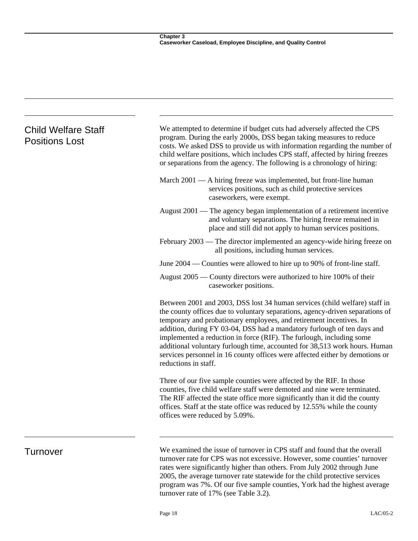| <b>Child Welfare Staff</b><br><b>Positions Lost</b> | We attempted to determine if budget cuts had adversely affected the CPS<br>program. During the early 2000s, DSS began taking measures to reduce<br>costs. We asked DSS to provide us with information regarding the number of<br>child welfare positions, which includes CPS staff, affected by hiring freezes<br>or separations from the agency. The following is a chronology of hiring:                                                                                                                                                                                  |
|-----------------------------------------------------|-----------------------------------------------------------------------------------------------------------------------------------------------------------------------------------------------------------------------------------------------------------------------------------------------------------------------------------------------------------------------------------------------------------------------------------------------------------------------------------------------------------------------------------------------------------------------------|
|                                                     | March 2001 — A hiring freeze was implemented, but front-line human<br>services positions, such as child protective services<br>caseworkers, were exempt.                                                                                                                                                                                                                                                                                                                                                                                                                    |
|                                                     | August $2001$ — The agency began implementation of a retirement incentive<br>and voluntary separations. The hiring freeze remained in<br>place and still did not apply to human services positions.                                                                                                                                                                                                                                                                                                                                                                         |
|                                                     | February 2003 — The director implemented an agency-wide hiring freeze on<br>all positions, including human services.                                                                                                                                                                                                                                                                                                                                                                                                                                                        |
|                                                     | June 2004 — Counties were allowed to hire up to 90% of front-line staff.                                                                                                                                                                                                                                                                                                                                                                                                                                                                                                    |
|                                                     | August 2005 — County directors were authorized to hire 100% of their<br>caseworker positions.                                                                                                                                                                                                                                                                                                                                                                                                                                                                               |
|                                                     | Between 2001 and 2003, DSS lost 34 human services (child welfare) staff in<br>the county offices due to voluntary separations, agency-driven separations of<br>temporary and probationary employees, and retirement incentives. In<br>addition, during FY 03-04, DSS had a mandatory furlough of ten days and<br>implemented a reduction in force (RIF). The furlough, including some<br>additional voluntary furlough time, accounted for 38,513 work hours. Human<br>services personnel in 16 county offices were affected either by demotions or<br>reductions in staff. |
|                                                     | Three of our five sample counties were affected by the RIF. In those<br>counties, five child welfare staff were demoted and nine were terminated.<br>The RIF affected the state office more significantly than it did the county<br>offices. Staff at the state office was reduced by 12.55% while the county<br>offices were reduced by 5.09%.                                                                                                                                                                                                                             |
| Turnover                                            | We examined the issue of turnover in CPS staff and found that the overall<br>turnover rate for CPS was not excessive. However, some counties' turnover<br>rates were significantly higher than others. From July 2002 through June<br>2005, the average turnover rate statewide for the child protective services                                                                                                                                                                                                                                                           |

turnover rate of 17% (see Table 3.2).

program was 7%. Of our five sample counties, York had the highest average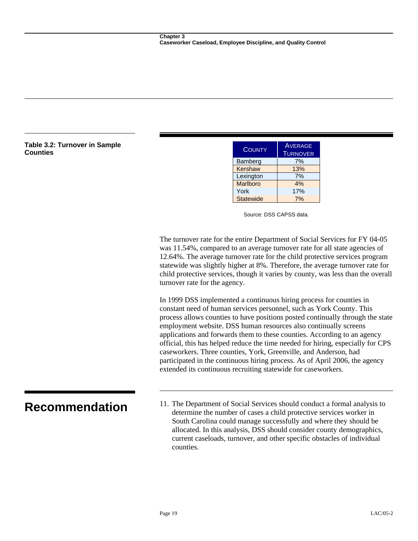## Table 3.2: Turnover in Sample **COUNTY Example 1.2: A COUNTY EXAMPLE A COUNTY EXAMPLE A COUNTY EXAMPLE A**

| <b>COUNTY</b>    | <b>AVERAGE</b><br><b>TURNOVER</b> |  |
|------------------|-----------------------------------|--|
| Bamberg          | 7%                                |  |
| Kershaw          | 13%                               |  |
| Lexington        | 7%                                |  |
| <b>Marlboro</b>  | 4%                                |  |
| York             | 17%                               |  |
| <b>Statewide</b> | 7%                                |  |

Source: DSS CAPSS data.

The turnover rate for the entire Department of Social Services for FY 04-05 was 11.54%, compared to an average turnover rate for all state agencies of 12.64%. The average turnover rate for the child protective services program statewide was slightly higher at 8%. Therefore, the average turnover rate for child protective services, though it varies by county, was less than the overall turnover rate for the agency.

In 1999 DSS implemented a continuous hiring process for counties in constant need of human services personnel, such as York County. This process allows counties to have positions posted continually through the state employment website. DSS human resources also continually screens applications and forwards them to these counties. According to an agency official, this has helped reduce the time needed for hiring, especially for CPS caseworkers. Three counties, York, Greenville, and Anderson, had participated in the continuous hiring process. As of April 2006, the agency extended its continuous recruiting statewide for caseworkers.

**Recommendation** 11. The Department of Social Services should conduct a formal analysis to determine the number of cases a child protective services worker in South Carolina could manage successfully and where they should be allocated. In this analysis, DSS should consider county demographics, current caseloads, turnover, and other specific obstacles of individual counties.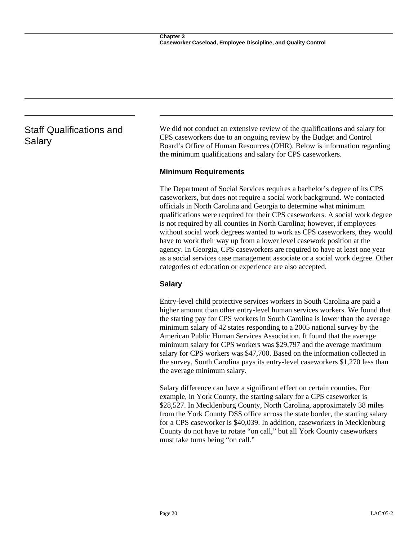### Staff Qualifications and Salary

We did not conduct an extensive review of the qualifications and salary for CPS caseworkers due to an ongoing review by the Budget and Control Board's Office of Human Resources (OHR). Below is information regarding the minimum qualifications and salary for CPS caseworkers.

### **Minimum Requirements**

The Department of Social Services requires a bachelor's degree of its CPS caseworkers, but does not require a social work background. We contacted officials in North Carolina and Georgia to determine what minimum qualifications were required for their CPS caseworkers. A social work degree is not required by all counties in North Carolina; however, if employees without social work degrees wanted to work as CPS caseworkers, they would have to work their way up from a lower level casework position at the agency. In Georgia, CPS caseworkers are required to have at least one year as a social services case management associate or a social work degree. Other categories of education or experience are also accepted.

### **Salary**

Entry-level child protective services workers in South Carolina are paid a higher amount than other entry-level human services workers. We found that the starting pay for CPS workers in South Carolina is lower than the average minimum salary of 42 states responding to a 2005 national survey by the American Public Human Services Association. It found that the average minimum salary for CPS workers was \$29,797 and the average maximum salary for CPS workers was \$47,700. Based on the information collected in the survey, South Carolina pays its entry-level caseworkers \$1,270 less than the average minimum salary.

Salary difference can have a significant effect on certain counties. For example, in York County, the starting salary for a CPS caseworker is \$28,527. In Mecklenburg County, North Carolina, approximately 38 miles from the York County DSS office across the state border, the starting salary for a CPS caseworker is \$40,039. In addition, caseworkers in Mecklenburg County do not have to rotate "on call," but all York County caseworkers must take turns being "on call."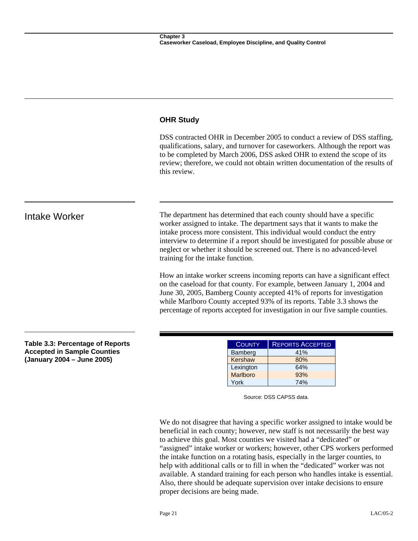### **OHR Study**

DSS contracted OHR in December 2005 to conduct a review of DSS staffing, qualifications, salary, and turnover for caseworkers. Although the report was to be completed by March 2006, DSS asked OHR to extend the scope of its review; therefore, we could not obtain written documentation of the results of this review.

Intake Worker The department has determined that each county should have a specific worker assigned to intake. The department says that it wants to make the intake process more consistent. This individual would conduct the entry interview to determine if a report should be investigated for possible abuse or neglect or whether it should be screened out. There is no advanced-level training for the intake function.

> How an intake worker screens incoming reports can have a significant effect on the caseload for that county. For example, between January 1, 2004 and June 30, 2005, Bamberg County accepted 41% of reports for investigation while Marlboro County accepted 93% of its reports. Table 3.3 shows the percentage of reports accepted for investigation in our five sample counties.

**Table 3.3: Percentage of Reports Accepted in Sample Counties (January 2004 – June 2005)** 

| <b>COUNTY</b> | <b>REPORTS ACCEPTED</b> |  |
|---------------|-------------------------|--|
| Bamberg       | 41%                     |  |
| Kershaw       | 80%                     |  |
| Lexington     | 64%                     |  |
| Marlboro      | 93%                     |  |
| York          | 74%                     |  |

Source: DSS CAPSS data.

We do not disagree that having a specific worker assigned to intake would be beneficial in each county; however, new staff is not necessarily the best way to achieve this goal. Most counties we visited had a "dedicated" or "assigned" intake worker or workers; however, other CPS workers performed the intake function on a rotating basis, especially in the larger counties, to help with additional calls or to fill in when the "dedicated" worker was not available. A standard training for each person who handles intake is essential. Also, there should be adequate supervision over intake decisions to ensure proper decisions are being made.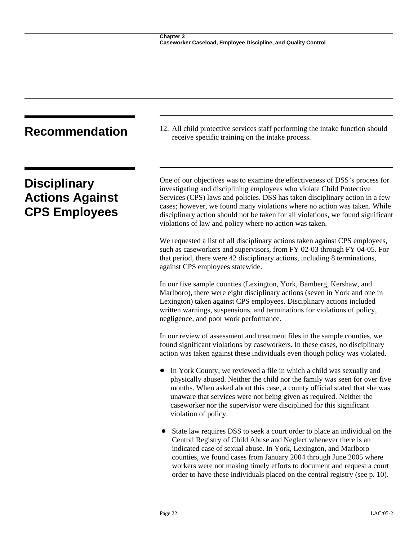| <b>Recommendation</b>                                                 | 12. All child protective services staff performing the intake function should<br>receive specific training on the intake process.                                                                                                                                                                                                                                                                                                                                |  |
|-----------------------------------------------------------------------|------------------------------------------------------------------------------------------------------------------------------------------------------------------------------------------------------------------------------------------------------------------------------------------------------------------------------------------------------------------------------------------------------------------------------------------------------------------|--|
| <b>Disciplinary</b><br><b>Actions Against</b><br><b>CPS Employees</b> | One of our objectives was to examine the effectiveness of DSS's process for<br>investigating and disciplining employees who violate Child Protective<br>Services (CPS) laws and policies. DSS has taken disciplinary action in a few<br>cases; however, we found many violations where no action was taken. While<br>disciplinary action should not be taken for all violations, we found significant<br>violations of law and policy where no action was taken. |  |
|                                                                       | We requested a list of all disciplinary actions taken against CPS employees,<br>such as caseworkers and supervisors, from FY 02-03 through FY 04-05. For<br>that period, there were 42 disciplinary actions, including 8 terminations,<br>against CPS employees statewide.                                                                                                                                                                                       |  |
|                                                                       | In our five sample counties (Lexington, York, Bamberg, Kershaw, and<br>Marlboro), there were eight disciplinary actions (seven in York and one in<br>Lexington) taken against CPS employees. Disciplinary actions included<br>written warnings, suspensions, and terminations for violations of policy,<br>negligence, and poor work performance.                                                                                                                |  |
|                                                                       | In our review of assessment and treatment files in the sample counties, we<br>found significant violations by caseworkers. In these cases, no disciplinary<br>action was taken against these individuals even though policy was violated.                                                                                                                                                                                                                        |  |
|                                                                       | In York County, we reviewed a file in which a child was sexually and<br>physically abused. Neither the child nor the family was seen for over five<br>months. When asked about this case, a county official stated that she was<br>unaware that services were not being given as required. Neither the<br>caseworker nor the supervisor were disciplined for this significant<br>violation of policy.                                                            |  |

• State law requires DSS to seek a court order to place an individual on the Central Registry of Child Abuse and Neglect whenever there is an indicated case of sexual abuse. In York, Lexington, and Marlboro counties, we found cases from January 2004 through June 2005 where workers were not making timely efforts to document and request a court order to have these individuals placed on the central registry (see p. 10).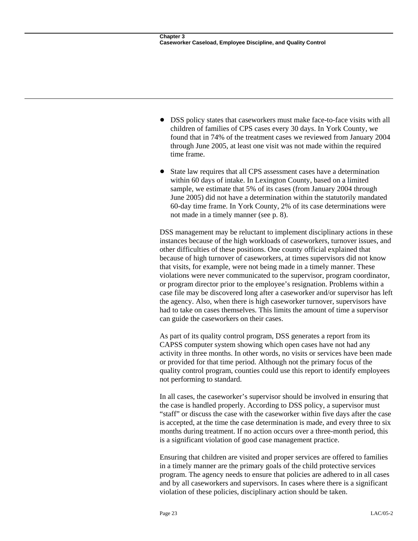- ! DSS policy states that caseworkers must make face-to-face visits with all children of families of CPS cases every 30 days. In York County, we found that in 74% of the treatment cases we reviewed from January 2004 through June 2005, at least one visit was not made within the required time frame.
- State law requires that all CPS assessment cases have a determination within 60 days of intake. In Lexington County, based on a limited sample, we estimate that 5% of its cases (from January 2004 through June 2005) did not have a determination within the statutorily mandated 60-day time frame. In York County, 2% of its case determinations were not made in a timely manner (see p. 8).

DSS management may be reluctant to implement disciplinary actions in these instances because of the high workloads of caseworkers, turnover issues, and other difficulties of these positions. One county official explained that because of high turnover of caseworkers, at times supervisors did not know that visits, for example, were not being made in a timely manner. These violations were never communicated to the supervisor, program coordinator, or program director prior to the employee's resignation. Problems within a case file may be discovered long after a caseworker and/or supervisor has left the agency. Also, when there is high caseworker turnover, supervisors have had to take on cases themselves. This limits the amount of time a supervisor can guide the caseworkers on their cases.

As part of its quality control program, DSS generates a report from its CAPSS computer system showing which open cases have not had any activity in three months. In other words, no visits or services have been made or provided for that time period. Although not the primary focus of the quality control program, counties could use this report to identify employees not performing to standard.

In all cases, the caseworker's supervisor should be involved in ensuring that the case is handled properly. According to DSS policy, a supervisor must "staff" or discuss the case with the caseworker within five days after the case is accepted, at the time the case determination is made, and every three to six months during treatment. If no action occurs over a three-month period, this is a significant violation of good case management practice.

Ensuring that children are visited and proper services are offered to families in a timely manner are the primary goals of the child protective services program. The agency needs to ensure that policies are adhered to in all cases and by all caseworkers and supervisors. In cases where there is a significant violation of these policies, disciplinary action should be taken.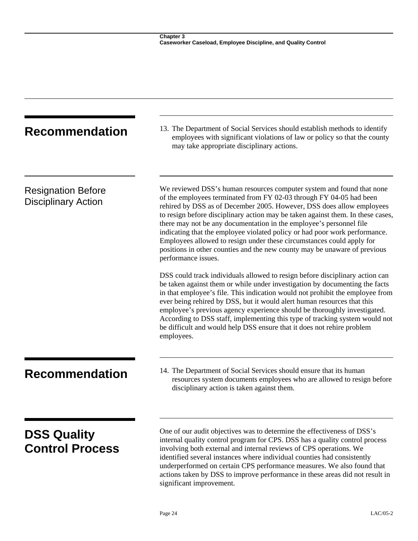| <b>Recommendation</b>                                   | 13. The Department of Social Services should establish methods to identify<br>employees with significant violations of law or policy so that the county<br>may take appropriate disciplinary actions.                                                                                                                                                                                                                                                                                                                                                                                                                                      |
|---------------------------------------------------------|--------------------------------------------------------------------------------------------------------------------------------------------------------------------------------------------------------------------------------------------------------------------------------------------------------------------------------------------------------------------------------------------------------------------------------------------------------------------------------------------------------------------------------------------------------------------------------------------------------------------------------------------|
| <b>Resignation Before</b><br><b>Disciplinary Action</b> | We reviewed DSS's human resources computer system and found that none<br>of the employees terminated from FY 02-03 through FY 04-05 had been<br>rehired by DSS as of December 2005. However, DSS does allow employees<br>to resign before disciplinary action may be taken against them. In these cases,<br>there may not be any documentation in the employee's personnel file<br>indicating that the employee violated policy or had poor work performance.<br>Employees allowed to resign under these circumstances could apply for<br>positions in other counties and the new county may be unaware of previous<br>performance issues. |
|                                                         | DSS could track individuals allowed to resign before disciplinary action can<br>be taken against them or while under investigation by documenting the facts<br>in that employee's file. This indication would not prohibit the employee from<br>ever being rehired by DSS, but it would alert human resources that this<br>employee's previous agency experience should be thoroughly investigated.<br>According to DSS staff, implementing this type of tracking system would not<br>be difficult and would help DSS ensure that it does not rehire problem<br>employees.                                                                 |
| <b>Recommendation</b>                                   | 14. The Department of Social Services should ensure that its human<br>resources system documents employees who are allowed to resign before<br>disciplinary action is taken against them.                                                                                                                                                                                                                                                                                                                                                                                                                                                  |
| <b>DSS Quality</b><br><b>Control Process</b>            | One of our audit objectives was to determine the effectiveness of DSS's<br>internal quality control program for CPS. DSS has a quality control process<br>involving both external and internal reviews of CPS operations. We<br>identified several instances where individual counties had consistently<br>underperformed on certain CPS performance measures. We also found that<br>actions taken by DSS to improve performance in these areas did not result in<br>significant improvement.                                                                                                                                              |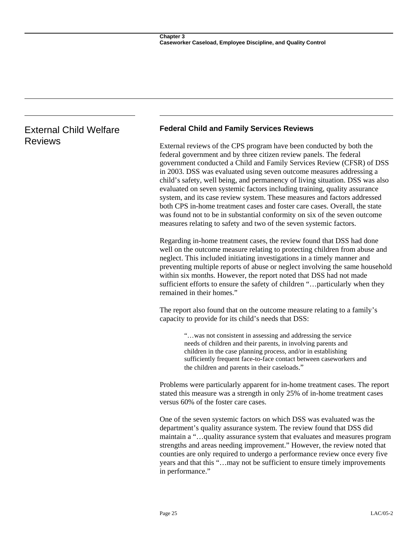## External Child Welfare Reviews

### **Federal Child and Family Services Reviews**

External reviews of the CPS program have been conducted by both the federal government and by three citizen review panels. The federal government conducted a Child and Family Services Review (CFSR) of DSS in 2003. DSS was evaluated using seven outcome measures addressing a child's safety, well being, and permanency of living situation. DSS was also evaluated on seven systemic factors including training, quality assurance system, and its case review system. These measures and factors addressed both CPS in-home treatment cases and foster care cases. Overall, the state was found not to be in substantial conformity on six of the seven outcome measures relating to safety and two of the seven systemic factors.

Regarding in-home treatment cases, the review found that DSS had done well on the outcome measure relating to protecting children from abuse and neglect. This included initiating investigations in a timely manner and preventing multiple reports of abuse or neglect involving the same household within six months. However, the report noted that DSS had not made sufficient efforts to ensure the safety of children "…particularly when they remained in their homes."

The report also found that on the outcome measure relating to a family's capacity to provide for its child's needs that DSS:

> "…was not consistent in assessing and addressing the service needs of children and their parents, in involving parents and children in the case planning process, and/or in establishing sufficiently frequent face-to-face contact between caseworkers and the children and parents in their caseloads."

Problems were particularly apparent for in-home treatment cases. The report stated this measure was a strength in only 25% of in-home treatment cases versus 60% of the foster care cases.

One of the seven systemic factors on which DSS was evaluated was the department's quality assurance system. The review found that DSS did maintain a "…quality assurance system that evaluates and measures program strengths and areas needing improvement." However, the review noted that counties are only required to undergo a performance review once every five years and that this "…may not be sufficient to ensure timely improvements in performance."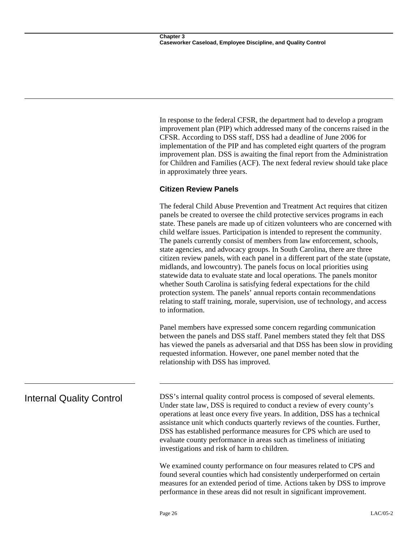In response to the federal CFSR, the department had to develop a program improvement plan (PIP) which addressed many of the concerns raised in the CFSR. According to DSS staff, DSS had a deadline of June 2006 for implementation of the PIP and has completed eight quarters of the program improvement plan. DSS is awaiting the final report from the Administration for Children and Families (ACF). The next federal review should take place in approximately three years.

### **Citizen Review Panels**

The federal Child Abuse Prevention and Treatment Act requires that citizen panels be created to oversee the child protective services programs in each state. These panels are made up of citizen volunteers who are concerned with child welfare issues. Participation is intended to represent the community. The panels currently consist of members from law enforcement, schools, state agencies, and advocacy groups. In South Carolina, there are three citizen review panels, with each panel in a different part of the state (upstate, midlands, and lowcountry). The panels focus on local priorities using statewide data to evaluate state and local operations. The panels monitor whether South Carolina is satisfying federal expectations for the child protection system. The panels' annual reports contain recommendations relating to staff training, morale, supervision, use of technology, and access to information.

Panel members have expressed some concern regarding communication between the panels and DSS staff. Panel members stated they felt that DSS has viewed the panels as adversarial and that DSS has been slow in providing requested information. However, one panel member noted that the relationship with DSS has improved.

Internal Quality Control DSS's internal quality control process is composed of several elements. Under state law, DSS is required to conduct a review of every county's operations at least once every five years. In addition, DSS has a technical assistance unit which conducts quarterly reviews of the counties. Further, DSS has established performance measures for CPS which are used to evaluate county performance in areas such as timeliness of initiating investigations and risk of harm to children.

> We examined county performance on four measures related to CPS and found several counties which had consistently underperformed on certain measures for an extended period of time. Actions taken by DSS to improve performance in these areas did not result in significant improvement.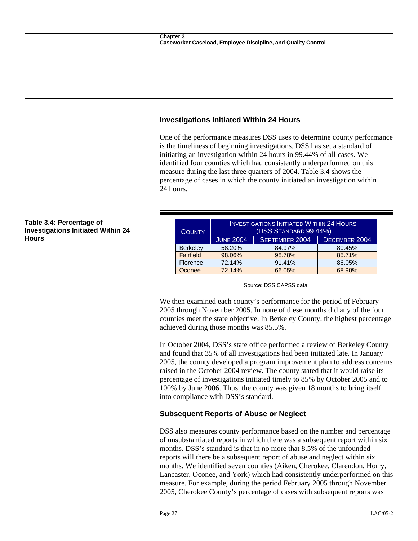### **Investigations Initiated Within 24 Hours**

One of the performance measures DSS uses to determine county performance is the timeliness of beginning investigations. DSS has set a standard of initiating an investigation within 24 hours in 99.44% of all cases. We identified four counties which had consistently underperformed on this measure during the last three quarters of 2004. Table 3.4 shows the percentage of cases in which the county initiated an investigation within 24 hours.

| <b>COUNTY</b>   | <b>INVESTIGATIONS INITIATED WITHIN 24 HOURS</b><br>(DSS STANDARD 99.44%) |                |               |
|-----------------|--------------------------------------------------------------------------|----------------|---------------|
|                 | <b>JUNE 2004</b>                                                         | SEPTEMBER 2004 | DECEMBER 2004 |
| <b>Berkeley</b> | 58.20%                                                                   | 84.97%         | 80.45%        |
| Fairfield       | 98.06%                                                                   | 98.78%         | 85.71%        |
| Florence        | 72.14%                                                                   | 91.41%         | 86.05%        |
| Oconee          | 72.14%                                                                   | 66.05%         | 68.90%        |

**Table 3.4: Percentage of Investigations Initiated Within 24 Hours** 

Source: DSS CAPSS data.

We then examined each county's performance for the period of February 2005 through November 2005. In none of these months did any of the four counties meet the state objective. In Berkeley County, the highest percentage achieved during those months was 85.5%.

In October 2004, DSS's state office performed a review of Berkeley County and found that 35% of all investigations had been initiated late. In January 2005, the county developed a program improvement plan to address concerns raised in the October 2004 review. The county stated that it would raise its percentage of investigations initiated timely to 85% by October 2005 and to 100% by June 2006. Thus, the county was given 18 months to bring itself into compliance with DSS's standard.

### **Subsequent Reports of Abuse or Neglect**

DSS also measures county performance based on the number and percentage of unsubstantiated reports in which there was a subsequent report within six months. DSS's standard is that in no more that 8.5% of the unfounded reports will there be a subsequent report of abuse and neglect within six months. We identified seven counties (Aiken, Cherokee, Clarendon, Horry, Lancaster, Oconee, and York) which had consistently underperformed on this measure. For example, during the period February 2005 through November 2005, Cherokee County's percentage of cases with subsequent reports was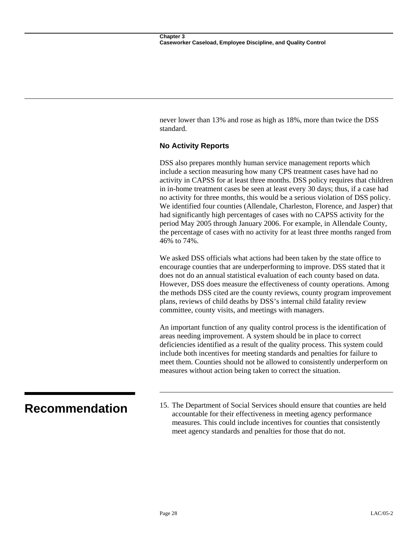never lower than 13% and rose as high as 18%, more than twice the DSS standard.

### **No Activity Reports**

DSS also prepares monthly human service management reports which include a section measuring how many CPS treatment cases have had no activity in CAPSS for at least three months. DSS policy requires that children in in-home treatment cases be seen at least every 30 days; thus, if a case had no activity for three months, this would be a serious violation of DSS policy. We identified four counties (Allendale, Charleston, Florence, and Jasper) that had significantly high percentages of cases with no CAPSS activity for the period May 2005 through January 2006. For example, in Allendale County, the percentage of cases with no activity for at least three months ranged from 46% to 74%.

We asked DSS officials what actions had been taken by the state office to encourage counties that are underperforming to improve. DSS stated that it does not do an annual statistical evaluation of each county based on data. However, DSS does measure the effectiveness of county operations. Among the methods DSS cited are the county reviews, county program improvement plans, reviews of child deaths by DSS's internal child fatality review committee, county visits, and meetings with managers.

An important function of any quality control process is the identification of areas needing improvement. A system should be in place to correct deficiencies identified as a result of the quality process. This system could include both incentives for meeting standards and penalties for failure to meet them. Counties should not be allowed to consistently underperform on measures without action being taken to correct the situation.

**Recommendation** 15. The Department of Social Services should ensure that counties are held accountable for their effectiveness in meeting agency performance measures. This could include incentives for counties that consistently meet agency standards and penalties for those that do not.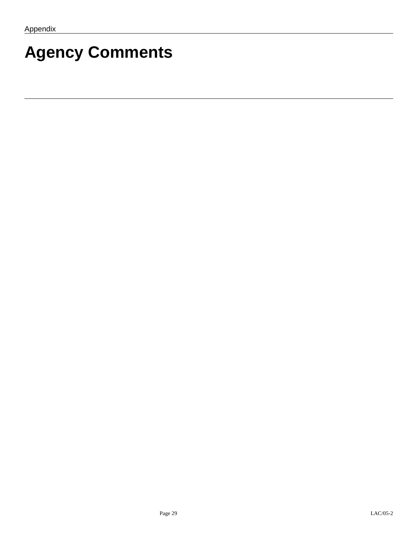# **Agency Comments**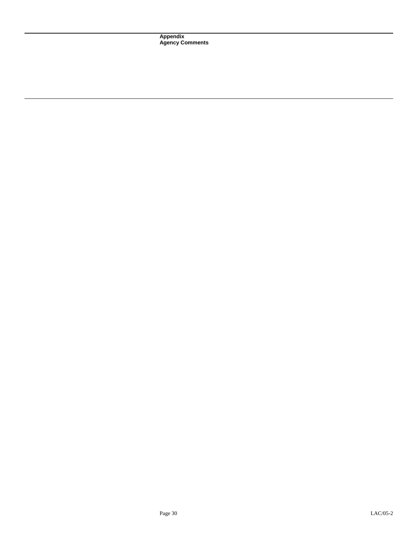**Appendix Agency Comments**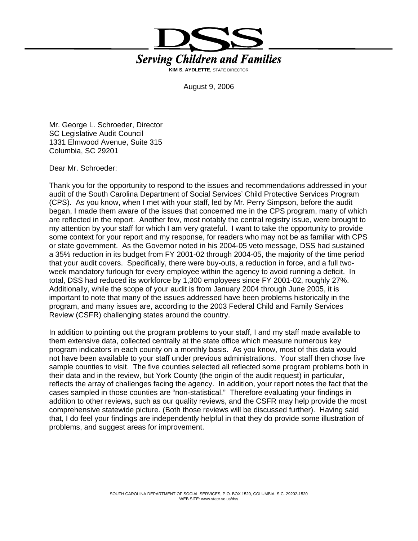

August 9, 2006

Mr. George L. Schroeder, Director SC Legislative Audit Council 1331 Elmwood Avenue, Suite 315 Columbia, SC 29201

Dear Mr. Schroeder:

Thank you for the opportunity to respond to the issues and recommendations addressed in your audit of the South Carolina Department of Social Services' Child Protective Services Program (CPS). As you know, when I met with your staff, led by Mr. Perry Simpson, before the audit began, I made them aware of the issues that concerned me in the CPS program, many of which are reflected in the report. Another few, most notably the central registry issue, were brought to my attention by your staff for which I am very grateful. I want to take the opportunity to provide some context for your report and my response, for readers who may not be as familiar with CPS or state government. As the Governor noted in his 2004-05 veto message, DSS had sustained a 35% reduction in its budget from FY 2001-02 through 2004-05, the majority of the time period that your audit covers. Specifically, there were buy-outs, a reduction in force, and a full twoweek mandatory furlough for every employee within the agency to avoid running a deficit. In total, DSS had reduced its workforce by 1,300 employees since FY 2001-02, roughly 27%. Additionally, while the scope of your audit is from January 2004 through June 2005, it is important to note that many of the issues addressed have been problems historically in the program, and many issues are, according to the 2003 Federal Child and Family Services Review (CSFR) challenging states around the country.

In addition to pointing out the program problems to your staff, I and my staff made available to them extensive data, collected centrally at the state office which measure numerous key program indicators in each county on a monthly basis. As you know, most of this data would not have been available to your staff under previous administrations. Your staff then chose five sample counties to visit. The five counties selected all reflected some program problems both in their data and in the review, but York County (the origin of the audit request) in particular, reflects the array of challenges facing the agency. In addition, your report notes the fact that the cases sampled in those counties are "non-statistical." Therefore evaluating your findings in addition to other reviews, such as our quality reviews, and the CSFR may help provide the most comprehensive statewide picture. (Both those reviews will be discussed further). Having said that, I do feel your findings are independently helpful in that they do provide some illustration of problems, and suggest areas for improvement.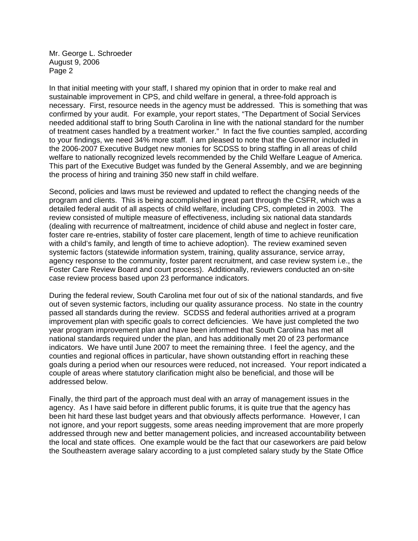In that initial meeting with your staff, I shared my opinion that in order to make real and sustainable improvement in CPS, and child welfare in general, a three-fold approach is necessary. First, resource needs in the agency must be addressed. This is something that was confirmed by your audit. For example, your report states, "The Department of Social Services needed additional staff to bring South Carolina in line with the national standard for the number of treatment cases handled by a treatment worker." In fact the five counties sampled, according to your findings, we need 34% more staff. I am pleased to note that the Governor included in the 2006-2007 Executive Budget new monies for SCDSS to bring staffing in all areas of child welfare to nationally recognized levels recommended by the Child Welfare League of America. This part of the Executive Budget was funded by the General Assembly, and we are beginning the process of hiring and training 350 new staff in child welfare.

Second, policies and laws must be reviewed and updated to reflect the changing needs of the program and clients. This is being accomplished in great part through the CSFR, which was a detailed federal audit of all aspects of child welfare, including CPS, completed in 2003. The review consisted of multiple measure of effectiveness, including six national data standards (dealing with recurrence of maltreatment, incidence of child abuse and neglect in foster care, foster care re-entries, stability of foster care placement, length of time to achieve reunification with a child's family, and length of time to achieve adoption). The review examined seven systemic factors (statewide information system, training, quality assurance, service array, agency response to the community, foster parent recruitment, and case review system i.e., the Foster Care Review Board and court process). Additionally, reviewers conducted an on-site case review process based upon 23 performance indicators.

During the federal review, South Carolina met four out of six of the national standards, and five out of seven systemic factors, including our quality assurance process. No state in the country passed all standards during the review. SCDSS and federal authorities arrived at a program improvement plan with specific goals to correct deficiencies. We have just completed the two year program improvement plan and have been informed that South Carolina has met all national standards required under the plan, and has additionally met 20 of 23 performance indicators. We have until June 2007 to meet the remaining three. I feel the agency, and the counties and regional offices in particular, have shown outstanding effort in reaching these goals during a period when our resources were reduced, not increased. Your report indicated a couple of areas where statutory clarification might also be beneficial, and those will be addressed below.

Finally, the third part of the approach must deal with an array of management issues in the agency. As I have said before in different public forums, it is quite true that the agency has been hit hard these last budget years and that obviously affects performance. However, I can not ignore, and your report suggests, some areas needing improvement that are more properly addressed through new and better management policies, and increased accountability between the local and state offices. One example would be the fact that our caseworkers are paid below the Southeastern average salary according to a just completed salary study by the State Office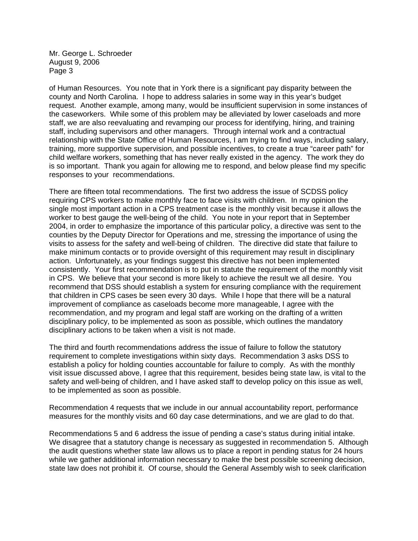of Human Resources. You note that in York there is a significant pay disparity between the county and North Carolina. I hope to address salaries in some way in this year's budget request. Another example, among many, would be insufficient supervision in some instances of the caseworkers. While some of this problem may be alleviated by lower caseloads and more staff, we are also reevaluating and revamping our process for identifying, hiring, and training staff, including supervisors and other managers. Through internal work and a contractual relationship with the State Office of Human Resources, I am trying to find ways, including salary, training, more supportive supervision, and possible incentives, to create a true "career path" for child welfare workers, something that has never really existed in the agency. The work they do is so important. Thank you again for allowing me to respond, and below please find my specific responses to your recommendations.

There are fifteen total recommendations. The first two address the issue of SCDSS policy requiring CPS workers to make monthly face to face visits with children. In my opinion the single most important action in a CPS treatment case is the monthly visit because it allows the worker to best gauge the well-being of the child. You note in your report that in September 2004, in order to emphasize the importance of this particular policy, a directive was sent to the counties by the Deputy Director for Operations and me, stressing the importance of using the visits to assess for the safety and well-being of children. The directive did state that failure to make minimum contacts or to provide oversight of this requirement may result in disciplinary action. Unfortunately, as your findings suggest this directive has not been implemented consistently. Your first recommendation is to put in statute the requirement of the monthly visit in CPS. We believe that your second is more likely to achieve the result we all desire. You recommend that DSS should establish a system for ensuring compliance with the requirement that children in CPS cases be seen every 30 days. While I hope that there will be a natural improvement of compliance as caseloads become more manageable, I agree with the recommendation, and my program and legal staff are working on the drafting of a written disciplinary policy, to be implemented as soon as possible, which outlines the mandatory disciplinary actions to be taken when a visit is not made.

The third and fourth recommendations address the issue of failure to follow the statutory requirement to complete investigations within sixty days. Recommendation 3 asks DSS to establish a policy for holding counties accountable for failure to comply. As with the monthly visit issue discussed above, I agree that this requirement, besides being state law, is vital to the safety and well-being of children, and I have asked staff to develop policy on this issue as well, to be implemented as soon as possible.

Recommendation 4 requests that we include in our annual accountability report, performance measures for the monthly visits and 60 day case determinations, and we are glad to do that.

Recommendations 5 and 6 address the issue of pending a case's status during initial intake. We disagree that a statutory change is necessary as suggested in recommendation 5. Although the audit questions whether state law allows us to place a report in pending status for 24 hours while we gather additional information necessary to make the best possible screening decision, state law does not prohibit it. Of course, should the General Assembly wish to seek clarification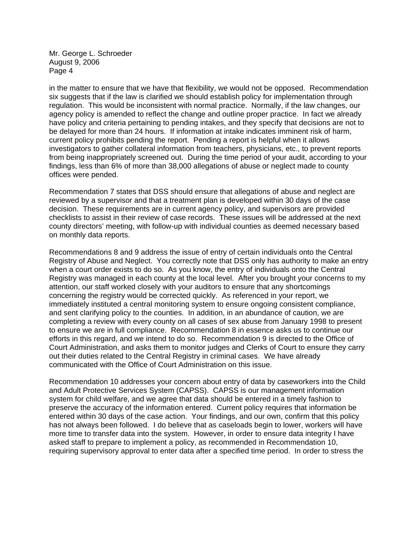in the matter to ensure that we have that flexibility, we would not be opposed. Recommendation six suggests that if the law is clarified we should establish policy for implementation through regulation. This would be inconsistent with normal practice. Normally, if the law changes, our agency policy is amended to reflect the change and outline proper practice. In fact we already have policy and criteria pertaining to pending intakes, and they specify that decisions are not to be delayed for more than 24 hours. If information at intake indicates imminent risk of harm, current policy prohibits pending the report. Pending a report is helpful when it allows investigators to gather collateral information from teachers, physicians, etc., to prevent reports from being inappropriately screened out. During the time period of your audit, according to your findings, less than 6% of more than 38,000 allegations of abuse or neglect made to county offices were pended.

Recommendation 7 states that DSS should ensure that allegations of abuse and neglect are reviewed by a supervisor and that a treatment plan is developed within 30 days of the case decision. These requirements are in current agency policy, and supervisors are provided checklists to assist in their review of case records. These issues will be addressed at the next county directors' meeting, with follow-up with individual counties as deemed necessary based on monthly data reports.

Recommendations 8 and 9 address the issue of entry of certain individuals onto the Central Registry of Abuse and Neglect. You correctly note that DSS only has authority to make an entry when a court order exists to do so. As you know, the entry of individuals onto the Central Registry was managed in each county at the local level. After you brought your concerns to my attention, our staff worked closely with your auditors to ensure that any shortcomings concerning the registry would be corrected quickly. As referenced in your report, we immediately instituted a central monitoring system to ensure ongoing consistent compliance, and sent clarifying policy to the counties. In addition, in an abundance of caution, we are completing a review with every county on all cases of sex abuse from January 1998 to present to ensure we are in full compliance. Recommendation 8 in essence asks us to continue our efforts in this regard, and we intend to do so. Recommendation 9 is directed to the Office of Court Administration, and asks them to monitor judges and Clerks of Court to ensure they carry out their duties related to the Central Registry in criminal cases. We have already communicated with the Office of Court Administration on this issue.

Recommendation 10 addresses your concern about entry of data by caseworkers into the Child and Adult Protective Services System (CAPSS). CAPSS is our management information system for child welfare, and we agree that data should be entered in a timely fashion to preserve the accuracy of the information entered. Current policy requires that information be entered within 30 days of the case action. Your findings, and our own, confirm that this policy has not always been followed. I do believe that as caseloads begin to lower, workers will have more time to transfer data into the system. However, in order to ensure data integrity I have asked staff to prepare to implement a policy, as recommended in Recommendation 10, requiring supervisory approval to enter data after a specified time period. In order to stress the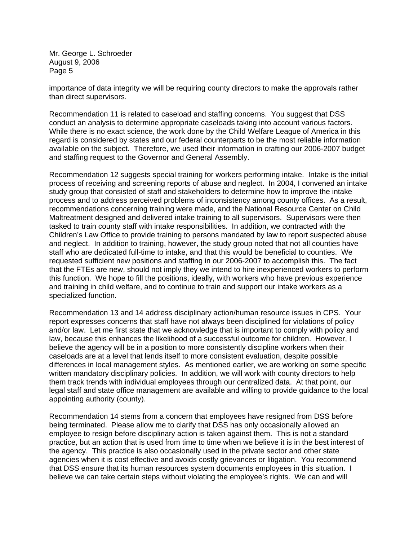importance of data integrity we will be requiring county directors to make the approvals rather than direct supervisors.

Recommendation 11 is related to caseload and staffing concerns. You suggest that DSS conduct an analysis to determine appropriate caseloads taking into account various factors. While there is no exact science, the work done by the Child Welfare League of America in this regard is considered by states and our federal counterparts to be the most reliable information available on the subject. Therefore, we used their information in crafting our 2006-2007 budget and staffing request to the Governor and General Assembly.

Recommendation 12 suggests special training for workers performing intake. Intake is the initial process of receiving and screening reports of abuse and neglect. In 2004, I convened an intake study group that consisted of staff and stakeholders to determine how to improve the intake process and to address perceived problems of inconsistency among county offices. As a result, recommendations concerning training were made, and the National Resource Center on Child Maltreatment designed and delivered intake training to all supervisors. Supervisors were then tasked to train county staff with intake responsibilities. In addition, we contracted with the Children's Law Office to provide training to persons mandated by law to report suspected abuse and neglect. In addition to training, however, the study group noted that not all counties have staff who are dedicated full-time to intake, and that this would be beneficial to counties. We requested sufficient new positions and staffing in our 2006-2007 to accomplish this. The fact that the FTEs are new, should not imply they we intend to hire inexperienced workers to perform this function. We hope to fill the positions, ideally, with workers who have previous experience and training in child welfare, and to continue to train and support our intake workers as a specialized function.

Recommendation 13 and 14 address disciplinary action/human resource issues in CPS. Your report expresses concerns that staff have not always been disciplined for violations of policy and/or law. Let me first state that we acknowledge that is important to comply with policy and law, because this enhances the likelihood of a successful outcome for children. However, I believe the agency will be in a position to more consistently discipline workers when their caseloads are at a level that lends itself to more consistent evaluation, despite possible differences in local management styles. As mentioned earlier, we are working on some specific written mandatory disciplinary policies. In addition, we will work with county directors to help them track trends with individual employees through our centralized data. At that point, our legal staff and state office management are available and willing to provide guidance to the local appointing authority (county).

Recommendation 14 stems from a concern that employees have resigned from DSS before being terminated. Please allow me to clarify that DSS has only occasionally allowed an employee to resign before disciplinary action is taken against them. This is not a standard practice, but an action that is used from time to time when we believe it is in the best interest of the agency. This practice is also occasionally used in the private sector and other state agencies when it is cost effective and avoids costly grievances or litigation. You recommend that DSS ensure that its human resources system documents employees in this situation. I believe we can take certain steps without violating the employee's rights. We can and will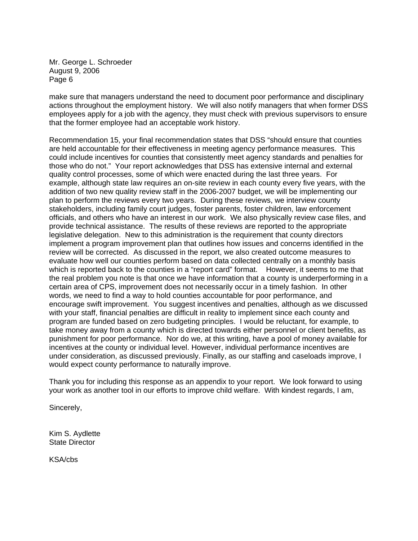make sure that managers understand the need to document poor performance and disciplinary actions throughout the employment history. We will also notify managers that when former DSS employees apply for a job with the agency, they must check with previous supervisors to ensure that the former employee had an acceptable work history.

 which is reported back to the counties in a "report card" format. However, it seems to me that Recommendation 15, your final recommendation states that DSS "should ensure that counties are held accountable for their effectiveness in meeting agency performance measures. This could include incentives for counties that consistently meet agency standards and penalties for those who do not." Your report acknowledges that DSS has extensive internal and external quality control processes, some of which were enacted during the last three years. For example, although state law requires an on-site review in each county every five years, with the addition of two new quality review staff in the 2006-2007 budget, we will be implementing our plan to perform the reviews every two years. During these reviews, we interview county stakeholders, including family court judges, foster parents, foster children, law enforcement officials, and others who have an interest in our work. We also physically review case files, and provide technical assistance. The results of these reviews are reported to the appropriate legislative delegation. New to this administration is the requirement that county directors implement a program improvement plan that outlines how issues and concerns identified in the review will be corrected. As discussed in the report, we also created outcome measures to evaluate how well our counties perform based on data collected centrally on a monthly basis the real problem you note is that once we have information that a county is underperforming in a certain area of CPS, improvement does not necessarily occur in a timely fashion. In other words, we need to find a way to hold counties accountable for poor performance, and encourage swift improvement. You suggest incentives and penalties, although as we discussed with your staff, financial penalties are difficult in reality to implement since each county and program are funded based on zero budgeting principles. I would be reluctant, for example, to take money away from a county which is directed towards either personnel or client benefits, as punishment for poor performance. Nor do we, at this writing, have a pool of money available for incentives at the county or individual level. However, individual performance incentives are under consideration, as discussed previously. Finally, as our staffing and caseloads improve, I would expect county performance to naturally improve.

Thank you for including this response as an appendix to your report. We look forward to using your work as another tool in our efforts to improve child welfare. With kindest regards, I am,

Sincerely,

Kim S. Aydlette State Director

KSA/cbs